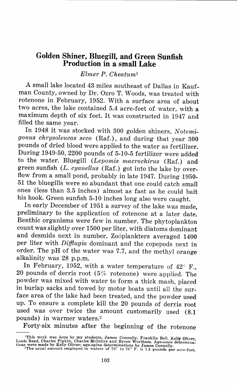## **Golden Shiner, Bluegill, and Green Sunfish Production in a small Lake**

## *Elmer P. Cheatum <sup>1</sup>*

A small lake located 43 miles southeast of Dallas in Kaufman County, owned by Dr. Ozro T. Woods, was treated with rotenone in February, 1952. With a surface area of about two acres, the lake contained 5.4 acre-feet of water, with a maximum depth of six feet. It was constructed in 1947 and filled the same year.

In 1948 it was stocked with 300 golden shiners, *Notemigonus chrysoleucas seco* (Raf.), and during that year 300 pounds of dried blood were applied to the water as fertilizer. During 1949-50, 2200 pounds of 5-10-5 fertilizer were added to the water. Bluegill *(Lepomis macrochirus* (Raf.) and green sunfish *(L. cyanellus* (Raf.) got into the lake by overflow from a small pond, probably in late 1947. During 1950- 51 the bluegills were so abundant that one could catch small ones (less than 3.5 inches) almost as fast as he could bait his hook. Green sunfish 5-10 inches long also were caught.

In early December of 1951 a survey of the lake was made, preliminary to the application of rotenone at a later date. Benthic organisms were few in number. The phytoplankton count was slightly over 1500 per liter, with diatoms dominant and desmids next in number. Zoöplankters averaged 1400 per liter with *Dijfiugia* dominant and the copepods next in order. The pH of the water was 7.7, and the methyl orange alkalinity was 28 p.p.m.

In February, 1952, with a water temperature of  $42^{\circ}$  F., 20 pounds of derris root (5% rotenone) were applied. The powder was mixed with water to form a thick mash, placed in burlap sacks and towed by motor boats until all the surface area of the lake had been treated, and the powder used up. To ensure a complete kill the 20 pounds of derris root used was over twice the amount customarily used (8.1 pounds) in warmer waters. <sup>2</sup>

Forty-six minutes after the beginning of the rotenone

<sup>&</sup>lt;sup>1</sup>This work was done by my students, James Connolly, Franklin Bell, Kelly Oliver<br>Louis Read, Charles Pipkin, Charles McIntire and Byron Wortham. Age-scale determina-<br>tions were made by Kelly Oliver; age-spine determinati